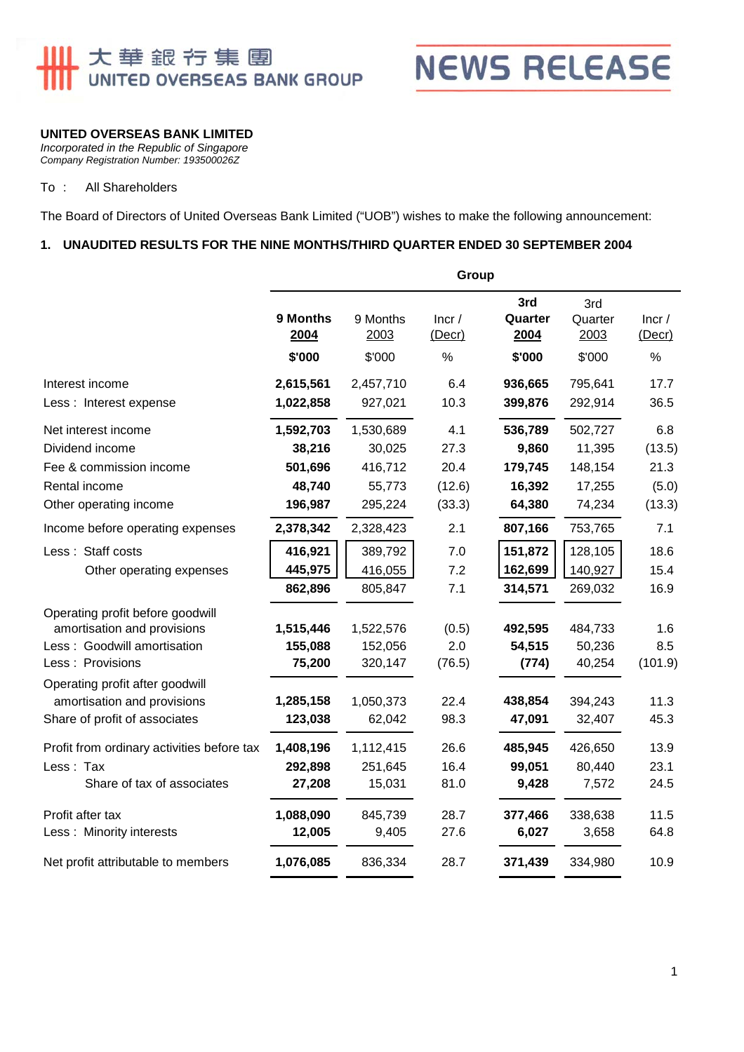# <mark>Ⅱ</mark> 大華銀节集團<br><mark>Ⅱ</mark> UNITED OVERSEAS BANK GROUP



### **UNITED OVERSEAS BANK LIMITED**

*Incorporated in the Republic of Singapore Company Registration Number: 193500026Z* 

#### To : All Shareholders

The Board of Directors of United Overseas Bank Limited ("UOB") wishes to make the following announcement:

#### **1. UNAUDITED RESULTS FOR THE NINE MONTHS/THIRD QUARTER ENDED 30 SEPTEMBER 2004**

|                                                                | Group            |                  |                 |                        |                        |                 |  |
|----------------------------------------------------------------|------------------|------------------|-----------------|------------------------|------------------------|-----------------|--|
|                                                                | 9 Months<br>2004 | 9 Months<br>2003 | Incr/<br>(Decr) | 3rd<br>Quarter<br>2004 | 3rd<br>Quarter<br>2003 | Incr/<br>(Decr) |  |
|                                                                | \$'000           | \$'000           | $\%$            | \$'000                 | \$'000                 | $\%$            |  |
| Interest income                                                | 2,615,561        | 2,457,710        | 6.4             | 936,665                | 795,641                | 17.7            |  |
| Less: Interest expense                                         | 1,022,858        | 927,021          | 10.3            | 399,876                | 292,914                | 36.5            |  |
| Net interest income                                            | 1,592,703        | 1,530,689        | 4.1             | 536,789                | 502,727                | 6.8             |  |
| Dividend income                                                | 38,216           | 30,025           | 27.3            | 9,860                  | 11,395                 | (13.5)          |  |
| Fee & commission income                                        | 501,696          | 416,712          | 20.4            | 179,745                | 148,154                | 21.3            |  |
| Rental income                                                  | 48,740           | 55,773           | (12.6)          | 16,392                 | 17,255                 | (5.0)           |  |
| Other operating income                                         | 196,987          | 295,224          | (33.3)          | 64,380                 | 74,234                 | (13.3)          |  |
| Income before operating expenses                               | 2,378,342        | 2,328,423        | 2.1             | 807,166                | 753,765                | 7.1             |  |
| Less: Staff costs                                              | 416,921          | 389,792          | 7.0             | 151,872                | 128,105                | 18.6            |  |
| Other operating expenses                                       | 445,975          | 416,055          | 7.2             | 162,699                | 140,927                | 15.4            |  |
|                                                                | 862,896          | 805,847          | 7.1             | 314,571                | 269,032                | 16.9            |  |
| Operating profit before goodwill                               |                  |                  |                 |                        |                        |                 |  |
| amortisation and provisions                                    | 1,515,446        | 1,522,576        | (0.5)           | 492,595                | 484,733                | 1.6             |  |
| Less: Goodwill amortisation                                    | 155,088          | 152,056          | 2.0             | 54,515                 | 50,236                 | 8.5             |  |
| Less: Provisions                                               | 75,200           | 320,147          | (76.5)          | (774)                  | 40,254                 | (101.9)         |  |
| Operating profit after goodwill<br>amortisation and provisions | 1,285,158        | 1,050,373        | 22.4            | 438,854                | 394,243                | 11.3            |  |
| Share of profit of associates                                  | 123,038          | 62,042           | 98.3            | 47,091                 | 32,407                 | 45.3            |  |
| Profit from ordinary activities before tax                     | 1,408,196        | 1,112,415        | 26.6            | 485,945                | 426,650                | 13.9            |  |
| Less: Tax                                                      | 292,898          | 251,645          | 16.4            | 99,051                 | 80,440                 | 23.1            |  |
| Share of tax of associates                                     | 27,208           | 15,031           | 81.0            | 9,428                  | 7,572                  | 24.5            |  |
| Profit after tax                                               | 1,088,090        | 845,739          | 28.7            | 377,466                | 338,638                | 11.5            |  |
| Less: Minority interests                                       | 12,005           | 9,405            | 27.6            | 6,027                  | 3,658                  | 64.8            |  |
| Net profit attributable to members                             | 1,076,085        | 836,334          | 28.7            | 371,439                | 334,980                | 10.9            |  |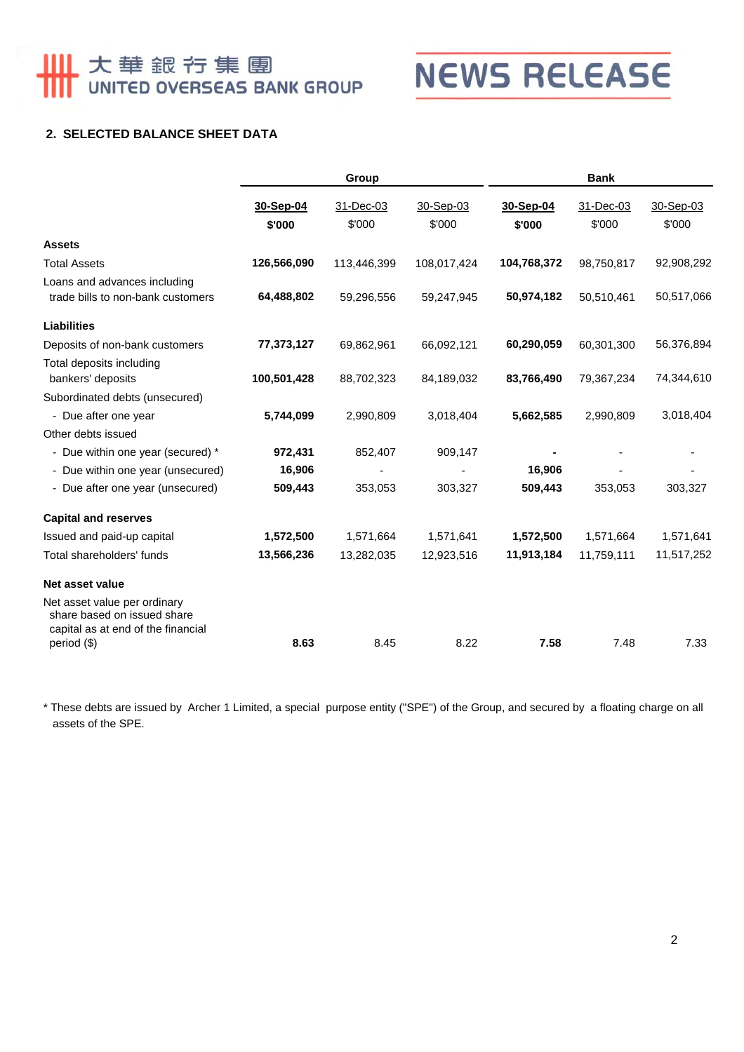# <u>↓</u> 大華銀行集團<br>| UNITED OVERSEAS BANK GROUP

**NEWS RELEASE** 

## **2. SELECTED BALANCE SHEET DATA**

|                                                                                                   | Group       |             |             | <b>Bank</b> |            |            |  |
|---------------------------------------------------------------------------------------------------|-------------|-------------|-------------|-------------|------------|------------|--|
|                                                                                                   | 30-Sep-04   | 31-Dec-03   | 30-Sep-03   | 30-Sep-04   | 31-Dec-03  | 30-Sep-03  |  |
|                                                                                                   | \$'000      | \$'000      | \$'000      | \$'000      | \$'000     | \$'000     |  |
| <b>Assets</b>                                                                                     |             |             |             |             |            |            |  |
| <b>Total Assets</b>                                                                               | 126,566,090 | 113,446,399 | 108,017,424 | 104,768,372 | 98,750,817 | 92,908,292 |  |
| Loans and advances including<br>trade bills to non-bank customers                                 | 64,488,802  | 59,296,556  | 59,247,945  | 50,974,182  | 50,510,461 | 50,517,066 |  |
| <b>Liabilities</b>                                                                                |             |             |             |             |            |            |  |
| Deposits of non-bank customers                                                                    | 77,373,127  | 69,862,961  | 66,092,121  | 60,290,059  | 60,301,300 | 56,376,894 |  |
| Total deposits including<br>bankers' deposits                                                     | 100,501,428 | 88,702,323  | 84,189,032  | 83,766,490  | 79,367,234 | 74,344,610 |  |
| Subordinated debts (unsecured)                                                                    |             |             |             |             |            |            |  |
| - Due after one year                                                                              | 5,744,099   | 2,990,809   | 3,018,404   | 5,662,585   | 2,990,809  | 3,018,404  |  |
| Other debts issued                                                                                |             |             |             |             |            |            |  |
| - Due within one year (secured) *                                                                 | 972,431     | 852,407     | 909,147     |             |            |            |  |
| - Due within one year (unsecured)                                                                 | 16,906      |             |             | 16,906      |            |            |  |
| - Due after one year (unsecured)                                                                  | 509,443     | 353,053     | 303,327     | 509,443     | 353,053    | 303,327    |  |
| <b>Capital and reserves</b>                                                                       |             |             |             |             |            |            |  |
| Issued and paid-up capital                                                                        | 1,572,500   | 1,571,664   | 1,571,641   | 1,572,500   | 1,571,664  | 1,571,641  |  |
| Total shareholders' funds                                                                         | 13,566,236  | 13,282,035  | 12,923,516  | 11,913,184  | 11,759,111 | 11,517,252 |  |
| Net asset value                                                                                   |             |             |             |             |            |            |  |
| Net asset value per ordinary<br>share based on issued share<br>capital as at end of the financial |             |             |             |             |            |            |  |
| period (\$)                                                                                       | 8.63        | 8.45        | 8.22        | 7.58        | 7.48       | 7.33       |  |

\* These debts are issued by Archer 1 Limited, a special purpose entity ("SPE") of the Group, and secured by a floating charge on all assets of the SPE.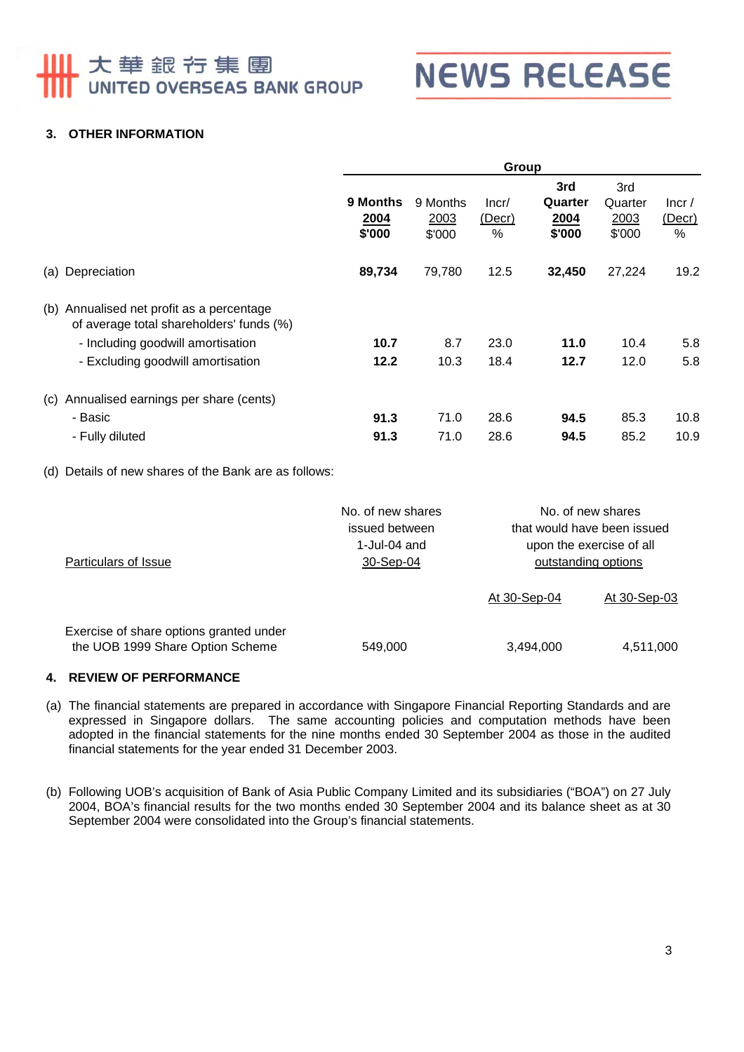# 大華銀行集團 UNITED OVERSEAS BANK GROUP



### **3. OTHER INFORMATION**

|                                                                                                                                                                 | Group                      |                            |                         |                                  |                                  |                      |
|-----------------------------------------------------------------------------------------------------------------------------------------------------------------|----------------------------|----------------------------|-------------------------|----------------------------------|----------------------------------|----------------------|
|                                                                                                                                                                 | 9 Months<br>2004<br>\$'000 | 9 Months<br>2003<br>\$'000 | Incr/<br>(Decr)<br>$\%$ | 3rd<br>Quarter<br>2004<br>\$'000 | 3rd<br>Quarter<br>2003<br>\$'000 | lncr/<br>(Decr)<br>% |
| (a) Depreciation                                                                                                                                                | 89,734                     | 79,780                     | 12.5                    | 32,450                           | 27,224                           | 19.2                 |
| (b) Annualised net profit as a percentage<br>of average total shareholders' funds (%)<br>- Including goodwill amortisation<br>- Excluding goodwill amortisation | 10.7<br>12.2               | 8.7<br>10.3                | 23.0<br>18.4            | 11.0<br>12.7                     | 10.4<br>12.0                     | 5.8<br>5.8           |
| (c) Annualised earnings per share (cents)<br>- Basic<br>- Fully diluted                                                                                         | 91.3<br>91.3               | 71.0<br>71.0               | 28.6<br>28.6            | 94.5<br>94.5                     | 85.3<br>85.2                     | 10.8<br>10.9         |

(d) Details of new shares of the Bank are as follows:

| Particulars of Issue                                                        | No. of new shares<br>issued between<br>1-Jul-04 and<br>30-Sep-04 |              | No. of new shares<br>that would have been issued<br>upon the exercise of all<br>outstanding options |
|-----------------------------------------------------------------------------|------------------------------------------------------------------|--------------|-----------------------------------------------------------------------------------------------------|
|                                                                             |                                                                  | At 30-Sep-04 | At 30-Sep-03                                                                                        |
| Exercise of share options granted under<br>the UOB 1999 Share Option Scheme | 549,000                                                          | 3,494,000    | 4,511,000                                                                                           |

#### **4. REVIEW OF PERFORMANCE**

- (a) The financial statements are prepared in accordance with Singapore Financial Reporting Standards and are expressed in Singapore dollars. The same accounting policies and computation methods have been adopted in the financial statements for the nine months ended 30 September 2004 as those in the audited financial statements for the year ended 31 December 2003.
- (b) Following UOB's acquisition of Bank of Asia Public Company Limited and its subsidiaries ("BOA") on 27 July 2004, BOA's financial results for the two months ended 30 September 2004 and its balance sheet as at 30 September 2004 were consolidated into the Group's financial statements.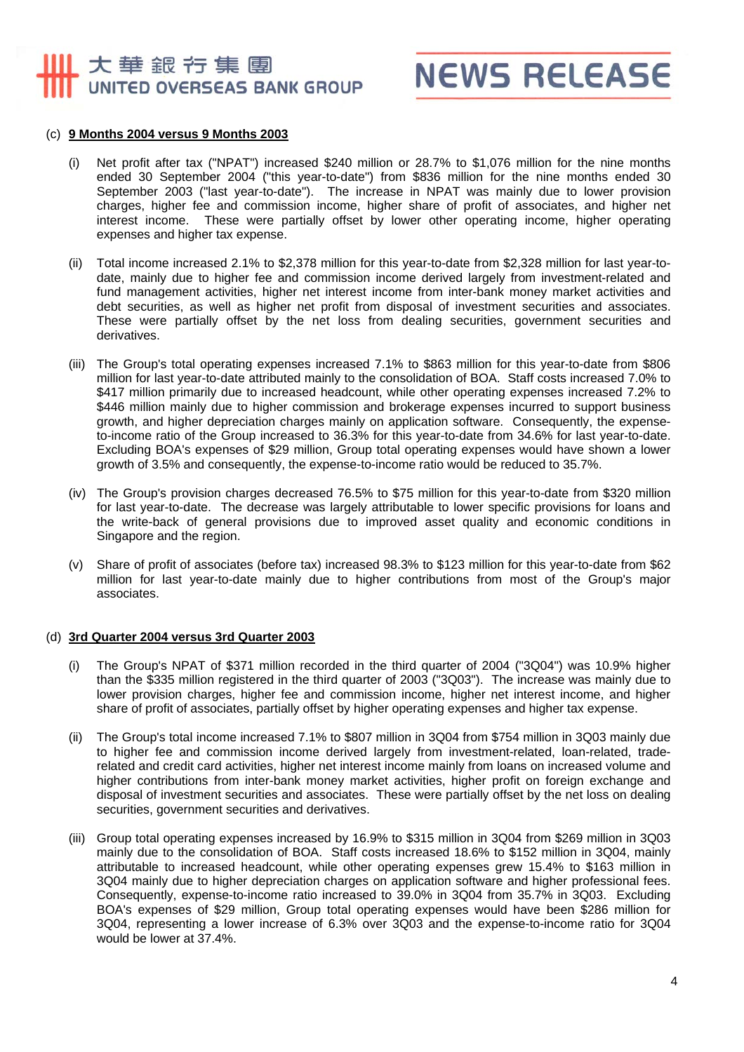## 大華銀行集團 UNITED OVERSEAS BANK GROUP

**NEWS RELEASE** 

#### (c) **9 Months 2004 versus 9 Months 2003**

- (i) Net profit after tax ("NPAT") increased \$240 million or 28.7% to \$1,076 million for the nine months ended 30 September 2004 ("this year-to-date") from \$836 million for the nine months ended 30 September 2003 ("last year-to-date"). The increase in NPAT was mainly due to lower provision charges, higher fee and commission income, higher share of profit of associates, and higher net interest income. These were partially offset by lower other operating income, higher operating expenses and higher tax expense.
- (ii) Total income increased 2.1% to \$2,378 million for this year-to-date from \$2,328 million for last year-todate, mainly due to higher fee and commission income derived largely from investment-related and fund management activities, higher net interest income from inter-bank money market activities and debt securities, as well as higher net profit from disposal of investment securities and associates. These were partially offset by the net loss from dealing securities, government securities and derivatives.
- (iii) The Group's total operating expenses increased 7.1% to \$863 million for this year-to-date from \$806 million for last year-to-date attributed mainly to the consolidation of BOA. Staff costs increased 7.0% to \$417 million primarily due to increased headcount, while other operating expenses increased 7.2% to \$446 million mainly due to higher commission and brokerage expenses incurred to support business growth, and higher depreciation charges mainly on application software. Consequently, the expenseto-income ratio of the Group increased to 36.3% for this year-to-date from 34.6% for last year-to-date. Excluding BOA's expenses of \$29 million, Group total operating expenses would have shown a lower growth of 3.5% and consequently, the expense-to-income ratio would be reduced to 35.7%.
- (iv) The Group's provision charges decreased 76.5% to \$75 million for this year-to-date from \$320 million for last year-to-date. The decrease was largely attributable to lower specific provisions for loans and the write-back of general provisions due to improved asset quality and economic conditions in Singapore and the region.
- (v) Share of profit of associates (before tax) increased 98.3% to \$123 million for this year-to-date from \$62 million for last year-to-date mainly due to higher contributions from most of the Group's major associates.

#### (d) **3rd Quarter 2004 versus 3rd Quarter 2003**

- (i) The Group's NPAT of \$371 million recorded in the third quarter of 2004 ("3Q04") was 10.9% higher than the \$335 million registered in the third quarter of 2003 ("3Q03"). The increase was mainly due to lower provision charges, higher fee and commission income, higher net interest income, and higher share of profit of associates, partially offset by higher operating expenses and higher tax expense.
- (ii) The Group's total income increased 7.1% to \$807 million in 3Q04 from \$754 million in 3Q03 mainly due to higher fee and commission income derived largely from investment-related, loan-related, traderelated and credit card activities, higher net interest income mainly from loans on increased volume and higher contributions from inter-bank money market activities, higher profit on foreign exchange and disposal of investment securities and associates. These were partially offset by the net loss on dealing securities, government securities and derivatives.
- (iii) Group total operating expenses increased by 16.9% to \$315 million in 3Q04 from \$269 million in 3Q03 mainly due to the consolidation of BOA. Staff costs increased 18.6% to \$152 million in 3Q04, mainly attributable to increased headcount, while other operating expenses grew 15.4% to \$163 million in 3Q04 mainly due to higher depreciation charges on application software and higher professional fees. Consequently, expense-to-income ratio increased to 39.0% in 3Q04 from 35.7% in 3Q03. Excluding BOA's expenses of \$29 million, Group total operating expenses would have been \$286 million for 3Q04, representing a lower increase of 6.3% over 3Q03 and the expense-to-income ratio for 3Q04 would be lower at 37.4%.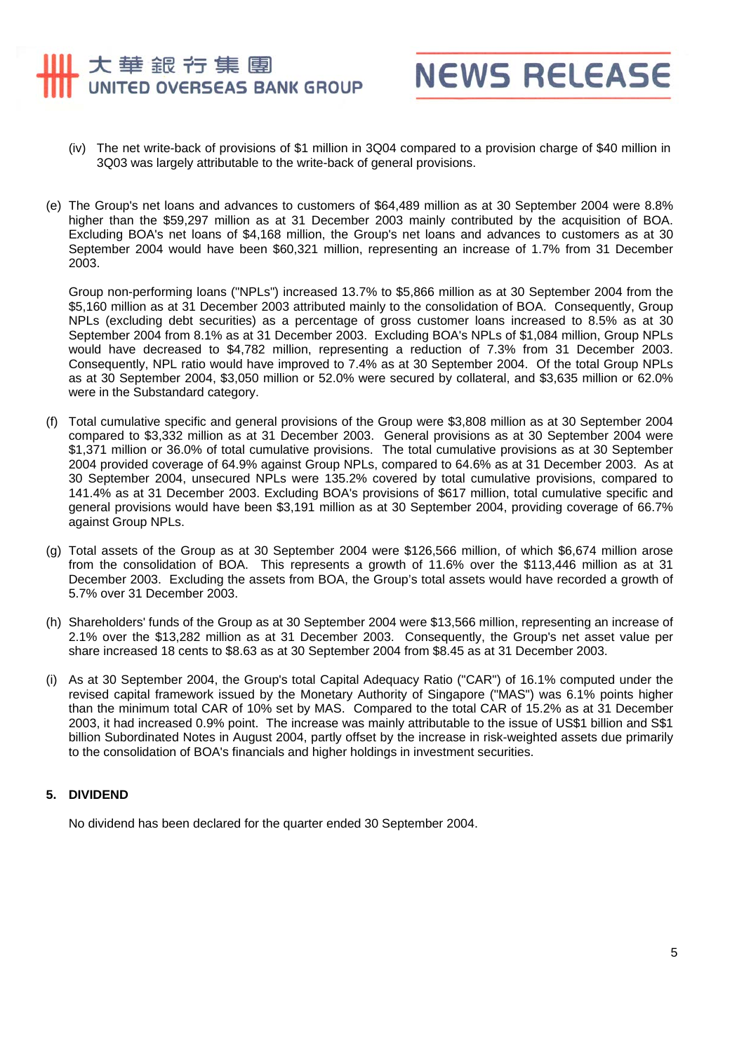# 大華銀行集團 UNITED OVERSEAS BANK GROUP



- (iv) The net write-back of provisions of \$1 million in 3Q04 compared to a provision charge of \$40 million in 3Q03 was largely attributable to the write-back of general provisions.
- (e) The Group's net loans and advances to customers of \$64,489 million as at 30 September 2004 were 8.8% higher than the \$59,297 million as at 31 December 2003 mainly contributed by the acquisition of BOA. Excluding BOA's net loans of \$4,168 million, the Group's net loans and advances to customers as at 30 September 2004 would have been \$60,321 million, representing an increase of 1.7% from 31 December 2003.

Group non-performing loans ("NPLs") increased 13.7% to \$5,866 million as at 30 September 2004 from the \$5,160 million as at 31 December 2003 attributed mainly to the consolidation of BOA. Consequently, Group NPLs (excluding debt securities) as a percentage of gross customer loans increased to 8.5% as at 30 September 2004 from 8.1% as at 31 December 2003. Excluding BOA's NPLs of \$1,084 million, Group NPLs would have decreased to \$4,782 million, representing a reduction of 7.3% from 31 December 2003. Consequently, NPL ratio would have improved to 7.4% as at 30 September 2004. Of the total Group NPLs as at 30 September 2004, \$3,050 million or 52.0% were secured by collateral, and \$3,635 million or 62.0% were in the Substandard category.

- (f) Total cumulative specific and general provisions of the Group were \$3,808 million as at 30 September 2004 compared to \$3,332 million as at 31 December 2003. General provisions as at 30 September 2004 were \$1,371 million or 36.0% of total cumulative provisions. The total cumulative provisions as at 30 September 2004 provided coverage of 64.9% against Group NPLs, compared to 64.6% as at 31 December 2003. As at 30 September 2004, unsecured NPLs were 135.2% covered by total cumulative provisions, compared to 141.4% as at 31 December 2003. Excluding BOA's provisions of \$617 million, total cumulative specific and general provisions would have been \$3,191 million as at 30 September 2004, providing coverage of 66.7% against Group NPLs.
- (g) Total assets of the Group as at 30 September 2004 were \$126,566 million, of which \$6,674 million arose from the consolidation of BOA. This represents a growth of 11.6% over the \$113,446 million as at 31 December 2003. Excluding the assets from BOA, the Group's total assets would have recorded a growth of 5.7% over 31 December 2003.
- (h) Shareholders' funds of the Group as at 30 September 2004 were \$13,566 million, representing an increase of 2.1% over the \$13,282 million as at 31 December 2003. Consequently, the Group's net asset value per share increased 18 cents to \$8.63 as at 30 September 2004 from \$8.45 as at 31 December 2003.
- (i) As at 30 September 2004, the Group's total Capital Adequacy Ratio ("CAR") of 16.1% computed under the revised capital framework issued by the Monetary Authority of Singapore ("MAS") was 6.1% points higher than the minimum total CAR of 10% set by MAS. Compared to the total CAR of 15.2% as at 31 December 2003, it had increased 0.9% point. The increase was mainly attributable to the issue of US\$1 billion and S\$1 billion Subordinated Notes in August 2004, partly offset by the increase in risk-weighted assets due primarily to the consolidation of BOA's financials and higher holdings in investment securities.

#### **5. DIVIDEND**

No dividend has been declared for the quarter ended 30 September 2004.